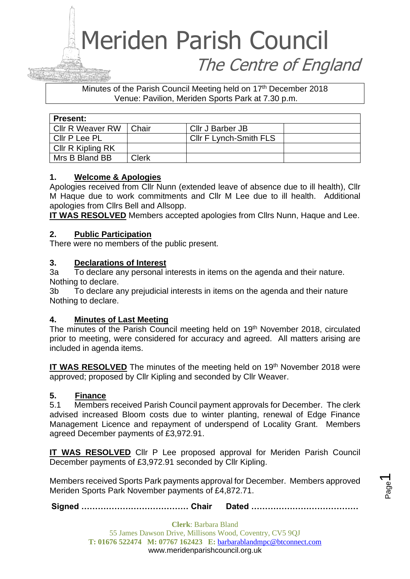### Meriden Parish Council The Centre of England

Minutes of the Parish Council Meeting held on 17th December 2018 Venue: Pavilion, Meriden Sports Park at 7.30 p.m.

| <b>Present:</b>         |              |                        |  |  |  |
|-------------------------|--------------|------------------------|--|--|--|
| <b>CIIr R Weaver RW</b> | Chair        | Cllr J Barber JB       |  |  |  |
| Cllr P Lee PL           |              | Cllr F Lynch-Smith FLS |  |  |  |
| Cllr R Kipling RK       |              |                        |  |  |  |
| Mrs B Bland BB          | <b>Clerk</b> |                        |  |  |  |

#### **1. Welcome & Apologies**

Apologies received from Cllr Nunn (extended leave of absence due to ill health), Cllr M Haque due to work commitments and Cllr M Lee due to ill health. Additional apologies from Cllrs Bell and Allsopp.

**IT WAS RESOLVED** Members accepted apologies from Cllrs Nunn, Haque and Lee.

#### **2. Public Participation**

There were no members of the public present.

#### **3. Declarations of Interest**

3a To declare any personal interests in items on the agenda and their nature. Nothing to declare.

3b To declare any prejudicial interests in items on the agenda and their nature Nothing to declare.

#### **4. Minutes of Last Meeting**

The minutes of the Parish Council meeting held on 19<sup>th</sup> November 2018, circulated prior to meeting, were considered for accuracy and agreed. All matters arising are included in agenda items.

**IT WAS RESOLVED** The minutes of the meeting held on 19<sup>th</sup> November 2018 were approved; proposed by Cllr Kipling and seconded by Cllr Weaver.

#### **5. Finance**

5.1 Members received Parish Council payment approvals for December. The clerk advised increased Bloom costs due to winter planting, renewal of Edge Finance Management Licence and repayment of underspend of Locality Grant. Members agreed December payments of £3,972.91.

**IT WAS RESOLVED** Cllr P Lee proposed approval for Meriden Parish Council December payments of £3,972.91 seconded by Cllr Kipling.

Members received Sports Park payments approval for December. Members approved Meriden Sports Park November payments of £4,872.71.

**Signed ………………………………… Chair Dated …………………………………**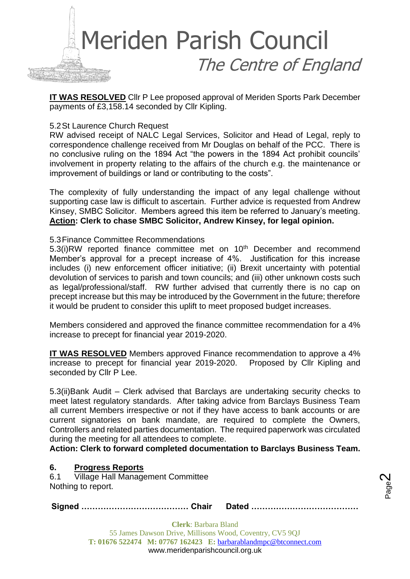

**IT WAS RESOLVED** Cllr P Lee proposed approval of Meriden Sports Park December payments of £3,158.14 seconded by Cllr Kipling.

#### 5.2St Laurence Church Request

RW advised receipt of NALC Legal Services, Solicitor and Head of Legal, reply to correspondence challenge received from Mr Douglas on behalf of the PCC. There is no conclusive ruling on the 1894 Act "the powers in the 1894 Act prohibit councils' involvement in property relating to the affairs of the church e.g. the maintenance or improvement of buildings or land or contributing to the costs".

The complexity of fully understanding the impact of any legal challenge without supporting case law is difficult to ascertain. Further advice is requested from Andrew Kinsey, SMBC Solicitor. Members agreed this item be referred to January's meeting. **Action: Clerk to chase SMBC Solicitor, Andrew Kinsey, for legal opinion.**

#### 5.3Finance Committee Recommendations

5.3(i)RW reported finance committee met on 10<sup>th</sup> December and recommend Member's approval for a precept increase of 4%. Justification for this increase includes (i) new enforcement officer initiative; (ii) Brexit uncertainty with potential devolution of services to parish and town councils; and (iii) other unknown costs such as legal/professional/staff. RW further advised that currently there is no cap on precept increase but this may be introduced by the Government in the future; therefore it would be prudent to consider this uplift to meet proposed budget increases.

Members considered and approved the finance committee recommendation for a 4% increase to precept for financial year 2019-2020.

**IT WAS RESOLVED** Members approved Finance recommendation to approve a 4% increase to precept for financial year 2019-2020. Proposed by Cllr Kipling and seconded by Cllr P Lee.

5.3(ii)Bank Audit – Clerk advised that Barclays are undertaking security checks to meet latest regulatory standards. After taking advice from Barclays Business Team all current Members irrespective or not if they have access to bank accounts or are current signatories on bank mandate, are required to complete the Owners, Controllers and related parties documentation. The required paperwork was circulated during the meeting for all attendees to complete.

**Action: Clerk to forward completed documentation to Barclays Business Team.**

#### **6. Progress Reports**

6.1 Village Hall Management Committee Nothing to report.

**Signed ………………………………… Chair Dated …………………………………**

Page  $\boldsymbol{\sim}$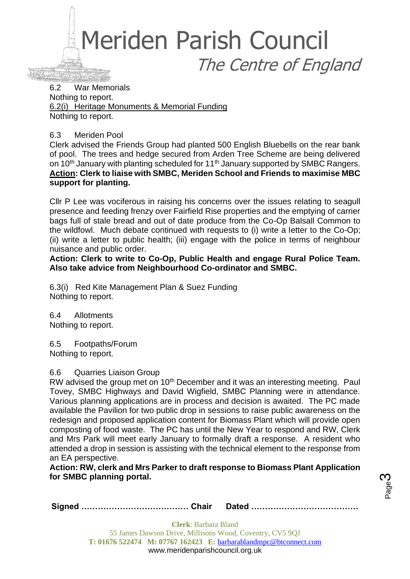

6.2 War Memorials Nothing to report. 6.2(i) Heritage Monuments & Memorial Funding Nothing to report.

6.3 Meriden Pool

Clerk advised the Friends Group had planted 500 English Bluebells on the rear bank of pool. The trees and hedge secured from Arden Tree Scheme are being delivered on 10<sup>th</sup> January with planting scheduled for 11<sup>th</sup> January supported by SMBC Rangers. **Action: Clerk to liaise with SMBC, Meriden School and Friends to maximise MBC support for planting.** 

Cllr P Lee was vociferous in raising his concerns over the issues relating to seagull presence and feeding frenzy over Fairfield Rise properties and the emptying of carrier bags full of stale bread and out of date produce from the Co-Op Balsall Common to the wildfowl. Much debate continued with requests to (i) write a letter to the Co-Op; (ii) write a letter to public health; (iii) engage with the police in terms of neighbour nuisance and public order.

**Action: Clerk to write to Co-Op, Public Health and engage Rural Police Team. Also take advice from Neighbourhood Co-ordinator and SMBC.**

6.3(i) Red Kite Management Plan & Suez Funding Nothing to report.

6.4 Allotments Nothing to report.

6.5 Footpaths/Forum Nothing to report.

#### 6.6 Quarries Liaison Group

RW advised the group met on 10<sup>th</sup> December and it was an interesting meeting. Paul Tovey, SMBC Highways and David Wigfield, SMBC Planning were in attendance. Various planning applications are in process and decision is awaited. The PC made available the Pavilion for two public drop in sessions to raise public awareness on the redesign and proposed application content for Biomass Plant which will provide open composting of food waste. The PC has until the New Year to respond and RW, Clerk and Mrs Park will meet early January to formally draft a response. A resident who attended a drop in session is assisting with the technical element to the response from an EA perspective.

**Action: RW, clerk and Mrs Parker to draft response to Biomass Plant Application for SMBC planning portal.**

Page ო

|--|--|--|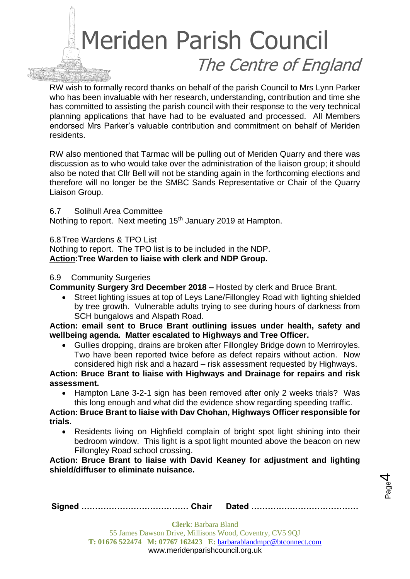# Meriden Parish Council The Centre of England

RW wish to formally record thanks on behalf of the parish Council to Mrs Lynn Parker who has been invaluable with her research, understanding, contribution and time she has committed to assisting the parish council with their response to the very technical planning applications that have had to be evaluated and processed. All Members endorsed Mrs Parker's valuable contribution and commitment on behalf of Meriden residents.

RW also mentioned that Tarmac will be pulling out of Meriden Quarry and there was discussion as to who would take over the administration of the liaison group; it should also be noted that Cllr Bell will not be standing again in the forthcoming elections and therefore will no longer be the SMBC Sands Representative or Chair of the Quarry Liaison Group.

6.7 Solihull Area Committee

Nothing to report. Next meeting 15<sup>th</sup> January 2019 at Hampton.

6.8Tree Wardens & TPO List

Nothing to report. The TPO list is to be included in the NDP. **Action:Tree Warden to liaise with clerk and NDP Group.**

#### 6.9 Community Surgeries

**Community Surgery 3rd December 2018 –** Hosted by clerk and Bruce Brant.

• Street lighting issues at top of Leys Lane/Fillongley Road with lighting shielded by tree growth. Vulnerable adults trying to see during hours of darkness from SCH bungalows and Alspath Road.

**Action: email sent to Bruce Brant outlining issues under health, safety and wellbeing agenda. Matter escalated to Highways and Tree Officer.**

• Gullies dropping, drains are broken after Fillongley Bridge down to Merriroyles. Two have been reported twice before as defect repairs without action. Now considered high risk and a hazard – risk assessment requested by Highways.

**Action: Bruce Brant to liaise with Highways and Drainage for repairs and risk assessment.**

• Hampton Lane 3-2-1 sign has been removed after only 2 weeks trials? Was this long enough and what did the evidence show regarding speeding traffic.

**Action: Bruce Brant to liaise with Dav Chohan, Highways Officer responsible for trials.**

• Residents living on Highfield complain of bright spot light shining into their bedroom window. This light is a spot light mounted above the beacon on new Fillongley Road school crossing.

**Action: Bruce Brant to liaise with David Keaney for adjustment and lighting shield/diffuser to eliminate nuisance.**



**Signed ………………………………… Chair Dated …………………………………**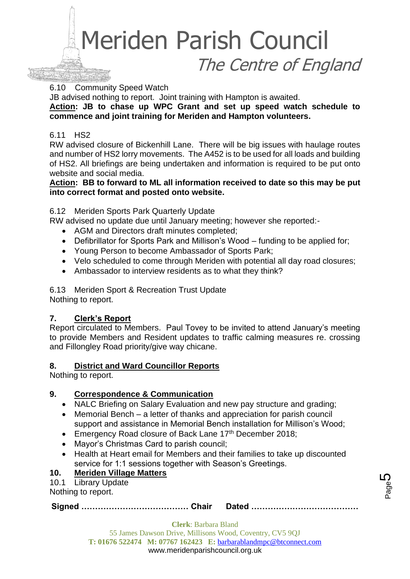

6.10 Community Speed Watch

JB advised nothing to report. Joint training with Hampton is awaited.

**Action: JB to chase up WPC Grant and set up speed watch schedule to commence and joint training for Meriden and Hampton volunteers.**

#### 6.11 HS2

RW advised closure of Bickenhill Lane. There will be big issues with haulage routes and number of HS2 lorry movements. The A452 is to be used for all loads and building of HS2. All briefings are being undertaken and information is required to be put onto website and social media.

#### **Action: BB to forward to ML all information received to date so this may be put into correct format and posted onto website.**

#### 6.12 Meriden Sports Park Quarterly Update

RW advised no update due until January meeting; however she reported:-

- AGM and Directors draft minutes completed;
- Defibrillator for Sports Park and Millison's Wood funding to be applied for;
- Young Person to become Ambassador of Sports Park;
- Velo scheduled to come through Meriden with potential all day road closures:
- Ambassador to interview residents as to what they think?

6.13 Meriden Sport & Recreation Trust Update Nothing to report.

#### **7. Clerk's Report**

Report circulated to Members. Paul Tovey to be invited to attend January's meeting to provide Members and Resident updates to traffic calming measures re. crossing and Fillongley Road priority/give way chicane.

#### **8. District and Ward Councillor Reports**

Nothing to report.

#### **9. Correspondence & Communication**

- NALC Briefing on Salary Evaluation and new pay structure and grading;
- Memorial Bench a letter of thanks and appreciation for parish council support and assistance in Memorial Bench installation for Millison's Wood;
- Emergency Road closure of Back Lane 17th December 2018;
- Mayor's Christmas Card to parish council;
- Health at Heart email for Members and their families to take up discounted service for 1:1 sessions together with Season's Greetings.

#### **10. Meriden Village Matters**

10.1 Library Update

Nothing to report.

**Signed ………………………………… Chair Dated …………………………………**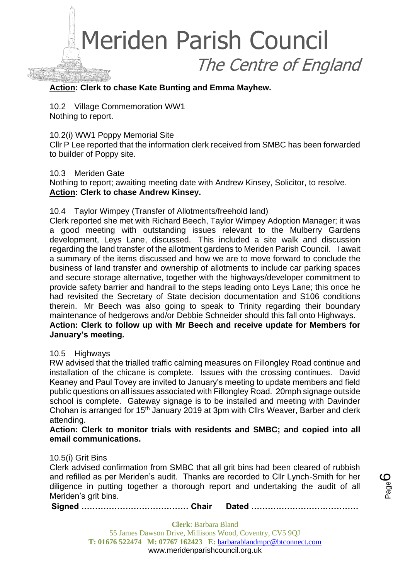

#### **Action: Clerk to chase Kate Bunting and Emma Mayhew.**

10.2 Village Commemoration WW1 Nothing to report.

10.2(i) WW1 Poppy Memorial Site

Cllr P Lee reported that the information clerk received from SMBC has been forwarded to builder of Poppy site.

#### 10.3 Meriden Gate

Nothing to report; awaiting meeting date with Andrew Kinsey, Solicitor, to resolve. **Action: Clerk to chase Andrew Kinsey.**

#### 10.4 Taylor Wimpey (Transfer of Allotments/freehold land)

Clerk reported she met with Richard Beech, Taylor Wimpey Adoption Manager; it was a good meeting with outstanding issues relevant to the Mulberry Gardens development, Leys Lane, discussed. This included a site walk and discussion regarding the land transfer of the allotment gardens to Meriden Parish Council. I await a summary of the items discussed and how we are to move forward to conclude the business of land transfer and ownership of allotments to include car parking spaces and secure storage alternative, together with the highways/developer commitment to provide safety barrier and handrail to the steps leading onto Leys Lane; this once he had revisited the Secretary of State decision documentation and S106 conditions therein. Mr Beech was also going to speak to Trinity regarding their boundary maintenance of hedgerows and/or Debbie Schneider should this fall onto Highways. **Action: Clerk to follow up with Mr Beech and receive update for Members for January's meeting.**

#### 10.5 Highways

RW advised that the trialled traffic calming measures on Fillongley Road continue and installation of the chicane is complete. Issues with the crossing continues. David Keaney and Paul Tovey are invited to January's meeting to update members and field public questions on all issues associated with Fillongley Road. 20mph signage outside school is complete. Gateway signage is to be installed and meeting with Davinder Chohan is arranged for 15th January 2019 at 3pm with Cllrs Weaver, Barber and clerk attending.

#### **Action: Clerk to monitor trials with residents and SMBC; and copied into all email communications.**

#### 10.5(i) Grit Bins

Clerk advised confirmation from SMBC that all grit bins had been cleared of rubbish and refilled as per Meriden's audit. Thanks are recorded to Cllr Lynch-Smith for her diligence in putting together a thorough report and undertaking the audit of all Meriden's grit bins.

**Signed ………………………………… Chair Dated …………………………………**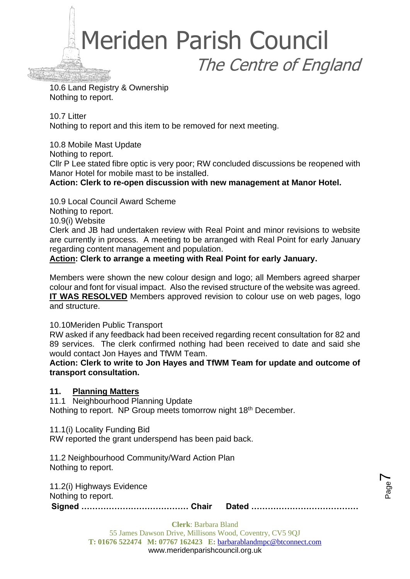

10.6 Land Registry & Ownership Nothing to report.

10.7 Litter Nothing to report and this item to be removed for next meeting.

10.8 Mobile Mast Update Nothing to report. Cllr P Lee stated fibre optic is very poor; RW concluded discussions be reopened with Manor Hotel for mobile mast to be installed. **Action: Clerk to re-open discussion with new management at Manor Hotel.**

10.9 Local Council Award Scheme Nothing to report. 10.9(i) Website Clerk and JB had undertaken review with Real Point and minor revisions to website are currently in process. A meeting to be arranged with Real Point for early January regarding content management and population.

**Action: Clerk to arrange a meeting with Real Point for early January.** 

Members were shown the new colour design and logo; all Members agreed sharper colour and font for visual impact. Also the revised structure of the website was agreed. **IT WAS RESOLVED** Members approved revision to colour use on web pages, logo and structure.

10.10Meriden Public Transport

RW asked if any feedback had been received regarding recent consultation for 82 and 89 services. The clerk confirmed nothing had been received to date and said she would contact Jon Hayes and TfWM Team.

**Action: Clerk to write to Jon Hayes and TfWM Team for update and outcome of transport consultation.**

#### **11. Planning Matters**

11.1 Neighbourhood Planning Update Nothing to report. NP Group meets tomorrow night 18<sup>th</sup> December.

11.1(i) Locality Funding Bid

RW reported the grant underspend has been paid back.

11.2 Neighbourhood Community/Ward Action Plan Nothing to report.

11.2(i) Highways Evidence Nothing to report.

**Signed ………………………………… Chair Dated …………………………………**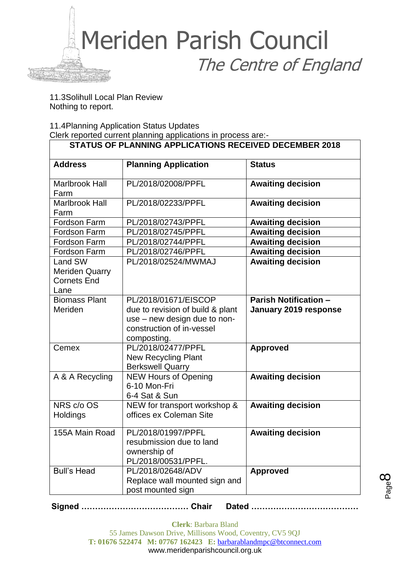

11.3Solihull Local Plan Review Nothing to report.

11.4Planning Application Status Updates

Clerk reported current planning applications in process are:-

| <b>Address</b>                                                 | <b>Planning Application</b>                                                           | <b>Status</b>                |
|----------------------------------------------------------------|---------------------------------------------------------------------------------------|------------------------------|
| <b>Marlbrook Hall</b><br>Farm                                  | PL/2018/02008/PPFL                                                                    | <b>Awaiting decision</b>     |
| <b>Marlbrook Hall</b><br>Farm                                  | PL/2018/02233/PPFL                                                                    | <b>Awaiting decision</b>     |
| Fordson Farm                                                   | PL/2018/02743/PPFL                                                                    | <b>Awaiting decision</b>     |
| Fordson Farm                                                   | PL/2018/02745/PPFL                                                                    | <b>Awaiting decision</b>     |
| Fordson Farm                                                   | PL/2018/02744/PPFL                                                                    | <b>Awaiting decision</b>     |
| Fordson Farm                                                   | PL/2018/02746/PPFL                                                                    | <b>Awaiting decision</b>     |
| Land SW<br><b>Meriden Quarry</b><br><b>Cornets End</b><br>Lane | PL/2018/02524/MWMAJ                                                                   | <b>Awaiting decision</b>     |
| <b>Biomass Plant</b>                                           | PL/2018/01671/EISCOP                                                                  | <b>Parish Notification -</b> |
| Meriden                                                        | due to revision of build & plant                                                      | January 2019 response        |
|                                                                | use - new design due to non-<br>construction of in-vessel                             |                              |
|                                                                | composting.                                                                           |                              |
| Cemex                                                          | PL/2018/02477/PPFL                                                                    | <b>Approved</b>              |
|                                                                | <b>New Recycling Plant</b><br><b>Berkswell Quarry</b>                                 |                              |
| A & A Recycling                                                | <b>NEW Hours of Opening</b><br>6-10 Mon-Fri<br>6-4 Sat & Sun                          | <b>Awaiting decision</b>     |
| NRS c/o OS                                                     | NEW for transport workshop &                                                          | <b>Awaiting decision</b>     |
| Holdings                                                       | offices ex Coleman Site                                                               |                              |
| 155A Main Road                                                 | PL/2018/01997/PPFL<br>resubmission due to land<br>ownership of<br>PL/2018/00531/PPFL. | <b>Awaiting decision</b>     |
| <b>Bull's Head</b>                                             | PL/2018/02648/ADV<br>Replace wall mounted sign and<br>post mounted sign               | <b>Approved</b>              |

**Signed ………………………………… Chair Dated …………………………………**